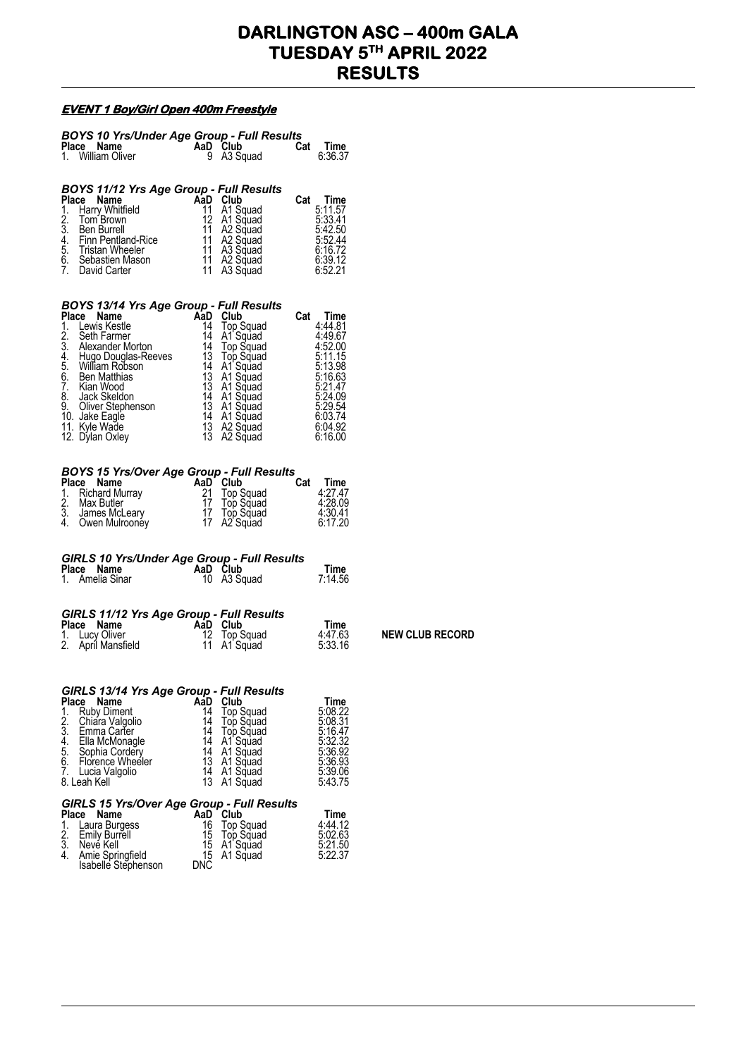## **DARLINGTON ASC – 400m GALA TUESDAY 5TH APRIL 2022 RESULTS**

 $NEW$  CLUB RECORD

## **EVENT 1 Boy/Girl Open 400m Freestyle**

|                                         | <b>BOYS 10 Yrs/Under Age Group - Full Results<br/>Place Name AaD Club Cat Time<br/>1. William Oliver 9 A3 Squad 6:36.37</b>                                                                                                                                                                               |                                                     |                                                                                                         |                                                                                              |  |  |  |  |  |
|-----------------------------------------|-----------------------------------------------------------------------------------------------------------------------------------------------------------------------------------------------------------------------------------------------------------------------------------------------------------|-----------------------------------------------------|---------------------------------------------------------------------------------------------------------|----------------------------------------------------------------------------------------------|--|--|--|--|--|
|                                         |                                                                                                                                                                                                                                                                                                           |                                                     |                                                                                                         | 6:36.37                                                                                      |  |  |  |  |  |
|                                         | BOYS 11/12 Yrs Age Group - Full Results<br><b>Place Name And Cat Time</b><br><b>Place Name And Cat Time</b><br><b>Place Name And Cat Time</b><br><b>Place Name And A1 A1 Squad</b> 5:11.57<br>2. Tom Brown 12 A1 Squad 5:33.41<br>3. Ben Burrell 11 A2 Squad 5:42.50<br>4. Finn Pentland-Rice 11 A2 Squad |                                                     |                                                                                                         |                                                                                              |  |  |  |  |  |
| BOYS 13/14 Yrs Age Group - Full Results |                                                                                                                                                                                                                                                                                                           |                                                     |                                                                                                         |                                                                                              |  |  |  |  |  |
|                                         | <b>BOYS 13/14 Yrs Age Group - Full Results<br/> Place Name AaD Club Cat Time<br/> 1. Lewis Kestle 14 Top Squad 4:44.81<br/> 2. Seth Farmer 14 A1 Squad 4:49.67<br/> 3. Alexander Morton 14 Top Squad 4:52.00<br/> 4. Hugo Douglas-Reeves 13 Top Squa</b>                                                  |                                                     |                                                                                                         |                                                                                              |  |  |  |  |  |
|                                         |                                                                                                                                                                                                                                                                                                           |                                                     |                                                                                                         |                                                                                              |  |  |  |  |  |
|                                         | <b>BOYS 15 Yrs/Over Age Group - Full Results<br/> Place Name AaD Club Cat Time<br/> 1. Richard Murray 21 Top Squad 4:27.47<br/> 2. Max Butler 17 Top Squad 4:28.09<br/> 3. James McLeary 17 Top Squad 4:30.41<br/> 4. Owen Mulrooney 17 A2 Squad 6:1</b>                                                  |                                                     |                                                                                                         |                                                                                              |  |  |  |  |  |
|                                         | GIRLS 10 Yrs/Under Age Group - Full Results<br>Place Name AaD Club Time<br>1. Amelia Sinar 10 A3 Squad 7:14.56                                                                                                                                                                                            |                                                     |                                                                                                         |                                                                                              |  |  |  |  |  |
|                                         | <b>GIRLS 11/12 Yrs Age Group - Full Results<br/> Place Name AaD Club Time<br/> 1. Lucy Oliver 12 Top Squad 4:47.63<br/> 2. April Mansfield 11 A1 Squad 5:33.16</b>                                                                                                                                        |                                                     |                                                                                                         |                                                                                              |  |  |  |  |  |
|                                         |                                                                                                                                                                                                                                                                                                           |                                                     |                                                                                                         |                                                                                              |  |  |  |  |  |
| 1.<br>2.3.4.5.6.<br>7.                  | GIRLS 13/14 Yrs Age Group - Full Results<br>Place Name<br><b>Ruby Diment</b><br>Chiara Valgolio<br>Emma Carter<br>Ella McMonagle<br>Sophia Cordery<br>Florence Wheeler<br>Lucia Valgolio<br>8. Leah Kell                                                                                                  | AaD<br>14<br>14<br>14<br>14<br>14<br>13<br>14<br>13 | Club<br>Top Squad<br>Top Squad<br>Top Squad<br>A1 Squad<br>A1 Squad<br>A1 Squad<br>A1 Squad<br>A1 Squad | Time<br>5:08.22<br>5:08.31<br>5:16.47<br>5:32.32<br>5:36.92<br>5:36.93<br>5:39.06<br>5:43.75 |  |  |  |  |  |
| $\frac{1}{2}$ .<br>3.<br>4.             | GIRLS 15 Yrs/Over Age Group - Full Results<br>Place<br>Name<br>Laura Burgess<br><b>Emily Burrell</b><br>Neve Kell<br>Amie Springfield<br>Isabelle Stephenson                                                                                                                                              | AaD<br>16<br>15<br>15<br>15<br><b>DNC</b>           | Club<br>Top Squad<br>Top Squad<br>A1 Squad<br>A1 Squad                                                  | Time<br>4:44.12<br>5:02.63<br>5:21.50<br>5:22.37                                             |  |  |  |  |  |